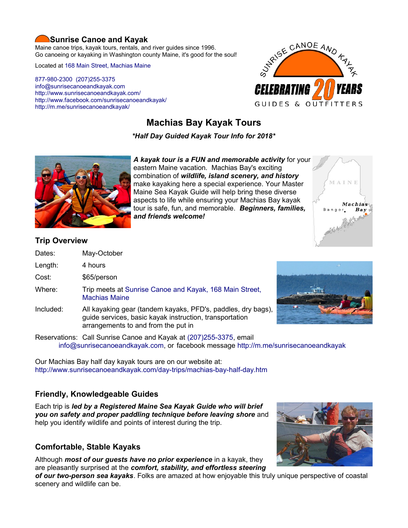#### **Sunrise Canoe and Kayak**

Maine canoe trips, kayak tours, rentals, and river guides since 1996. Go canoeing or kayaking in Washington county Maine, it's good for the soul!

Located at [168 Main Street, Machias Maine](https://www.google.com/maps/place/Sunrise+Canoe+and+Kayak/@44.7213453,-67.4499306,520m/data=!3m2!1e3!4b1!4m5!3m4!1s0x4ca8cddc0180f8e7:0x696322ccd6ce6621!8m2!3d44.7213415!4d-67.4477419?hl=en)

[877-980-2300](tel:+1-877-980-2300) [\(207\)255-3375](tel:+1-207-255-3375) [info@sunrisecanoeandkayak.com](mailto:info@sunrisecanoeandkayak.com) <http://www.sunrisecanoeandkayak.com/> [http://www.facebook.com/sunrisecanoeandkayak/](https://www.facebook.com/sunrisecanoeandkayak/) <http://m.me/sunrisecanoeandkayak/>



# **Machias Bay Kayak Tours**

*\*Half Day Guided Kayak Tour Info for 2018\**



*A kayak tour is a FUN and memorable activity* for your eastern Maine vacation. Machias Bay's exciting combination of *wildlife, island scenery, and history* make kayaking here a special experience. Your Master Maine Sea Kayak Guide will help bring these diverse aspects to life while ensuring your Machias Bay kayak tour is safe, fun, and memorable. *Beginners, families, and friends welcome!*



#### **Trip Overview**

- Dates: May-October
- Length: 4 hours
- Cost: \$65/person
- Where: Trip meets at [Sunrise Canoe and Kayak, 168 Main Street,](https://www.google.com/maps/place/Sunrise+Canoe+and+Kayak/@44.7213453,-67.4499306,520m/data=!3m2!1e3!4b1!4m5!3m4!1s0x4ca8cddc0180f8e7:0x696322ccd6ce6621!8m2!3d44.7213415!4d-67.4477419?hl=en)  [Machias Maine](https://www.google.com/maps/place/Sunrise+Canoe+and+Kayak/@44.7213453,-67.4499306,520m/data=!3m2!1e3!4b1!4m5!3m4!1s0x4ca8cddc0180f8e7:0x696322ccd6ce6621!8m2!3d44.7213415!4d-67.4477419?hl=en)
- Included: All kayaking gear (tandem kayaks, PFD's, paddles, dry bags), guide services, basic kayak instruction, transportation arrangements to and from the put in



Reservations: Call Sunrise Canoe and Kayak at [\(207\)255-3375,](tel:+1-207-255-3375) email [info@sunrisecanoeandkayak.com,](mailto:info@sunrisecanoeandkayak.com) or facebook message<http://m.me/sunrisecanoeandkayak>

Our Machias Bay half day kayak tours are on our website at: <http://www.sunrisecanoeandkayak.com/day-trips/machias-bay-half-day.htm>

#### **Friendly, Knowledgeable Guides**

Each trip is *led by a Registered Maine Sea Kayak Guide who will brief you on safety and proper paddling technique before leaving shore* and help you identify wildlife and points of interest during the trip.

#### **Comfortable, Stable Kayaks**

Although *most of our guests have no prior experience* in a kayak, they are pleasantly surprised at the *comfort, stability, and effortless steering*

*of our two-person sea kayaks*. Folks are amazed at how enjoyable this truly unique perspective of coastal scenery and wildlife can be.

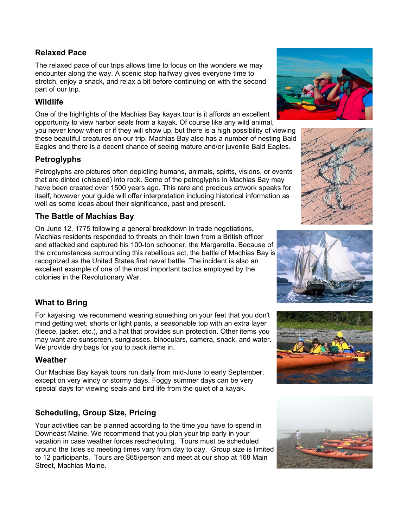#### **Relaxed Pace**

The relaxed pace of our trips allows time to focus on the wonders we may encounter along the way. A scenic stop halfway gives everyone time to stretch, enjoy a snack, and relax a bit before continuing on with the second part of our trip.

## **Wildlife**

One of the highlights of the Machias Bay kayak tour is it affords an excellent opportunity to view harbor seals from a kayak. Of course like any wild animal,

you never know when or if they will show up, but there is a high possibility of viewing these beautiful creatures on our trip. Machias Bay also has a number of nesting Bald Eagles and there is a decent chance of seeing mature and/or juvenile Bald Eagles.

## **Petroglyphs**

Petroglyphs are pictures often depicting humans, animals, spirits, visions, or events that are dinted (chiseled) into rock. Some of the petroglyphs in Machias Bay may have been created over 1500 years ago. This rare and precious artwork speaks for itself, however your guide will offer interpretation including historical information as well as some ideas about their significance, past and present.

## **The Battle of Machias Bay**

On June 12, 1775 following a general breakdown in trade negotiations, Machias residents responded to threats on their town from a British officer and attacked and captured his 100-ton schooner, the Margaretta. Because of the circumstances surrounding this rebellious act, the battle of Machias Bay is recognized as the United States first naval battle. The incident is also an excellent example of one of the most important tactics employed by the colonies in the Revolutionary War.

## **What to Bring**

For kayaking, we recommend wearing something on your feet that you don't mind getting wet, shorts or light pants, a seasonable top with an extra layer (fleece, jacket, etc.), and a hat that provides sun protection. Other items you may want are sunscreen, sunglasses, binoculars, camera, snack, and water. We provide dry bags for you to pack items in.

#### **Weather**

Our Machias Bay kayak tours run daily from mid-June to early September, except on very windy or stormy days. Foggy summer days can be very special days for viewing seals and bird life from the quiet of a kayak.

## **Scheduling, Group Size, Pricing**

Your activities can be planned according to the time you have to spend in Downeast Maine. We recommend that you plan your trip early in your vacation in case weather forces rescheduling. Tours must be scheduled around the tides so meeting times vary from day to day. Group size is limited to 12 participants. Tours are \$65/person and meet at our shop at 168 Main Street, Machias Maine.